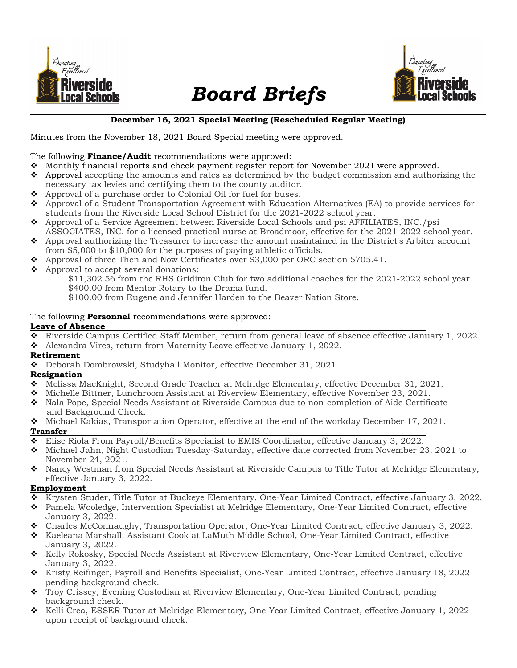

# Board Briefs



#### December 16, 2021 Special Meeting (Rescheduled Regular Meeting)

Minutes from the November 18, 2021 Board Special meeting were approved.

#### The following **Finance/Audit** recommendations were approved:

- \* Monthly financial reports and check payment register report for November 2021 were approved.
- $\bullet$  Approval accepting the amounts and rates as determined by the budget commission and authorizing the necessary tax levies and certifying them to the county auditor.
- Approval of a purchase order to Colonial Oil for fuel for buses.
- Approval of a Student Transportation Agreement with Education Alternatives (EA) to provide services for students from the Riverside Local School District for the 2021-2022 school year.
- Approval of a Service Agreement between Riverside Local Schools and psi AFFILIATES, INC./psi ASSOCIATES, INC. for a licensed practical nurse at Broadmoor, effective for the 2021-2022 school year.
- Approval authorizing the Treasurer to increase the amount maintained in the District's Arbiter account from \$5,000 to \$10,000 for the purposes of paying athletic officials.
- Approval of three Then and Now Certificates over \$3,000 per ORC section 5705.41.
- $\triangle$  Approval to accept several donations:

 \$11,302.56 from the RHS Gridiron Club for two additional coaches for the 2021-2022 school year. \$400.00 from Mentor Rotary to the Drama fund.

\$100.00 from Eugene and Jennifer Harden to the Beaver Nation Store.

# The following **Personnel** recommendations were approved:

#### Leave of Absence

- Riverside Campus Certified Staff Member, return from general leave of absence effective January 1, 2022.
- Alexandra Vires, return from Maternity Leave effective January 1, 2022.

#### Retirement

Deborah Dombrowski, Studyhall Monitor, effective December 31, 2021.

#### Resignation

- Melissa MacKnight, Second Grade Teacher at Melridge Elementary, effective December 31, 2021.
- Michelle Bittner, Lunchroom Assistant at Riverview Elementary, effective November 23, 2021.
- Nala Pope, Special Needs Assistant at Riverside Campus due to non-completion of Aide Certificate and Background Check.
- Michael Kakias, Transportation Operator, effective at the end of the workday December 17, 2021. Transfer
- Elise Riola From Payroll/Benefits Specialist to EMIS Coordinator, effective January 3, 2022.
- Michael Jahn, Night Custodian Tuesday-Saturday, effective date corrected from November 23, 2021 to November 24, 2021.
- Nancy Westman from Special Needs Assistant at Riverside Campus to Title Tutor at Melridge Elementary, effective January 3, 2022.

#### Employment

- Krysten Studer, Title Tutor at Buckeye Elementary, One-Year Limited Contract, effective January 3, 2022.
- Pamela Wooledge, Intervention Specialist at Melridge Elementary, One-Year Limited Contract, effective January 3, 2022.
- Charles McConnaughy, Transportation Operator, One-Year Limited Contract, effective January 3, 2022.
- Kaeleana Marshall, Assistant Cook at LaMuth Middle School, One-Year Limited Contract, effective January 3, 2022.
- ◆ Kelly Rokosky, Special Needs Assistant at Riverview Elementary, One-Year Limited Contract, effective January 3, 2022.
- Kristy Reifinger, Payroll and Benefits Specialist, One-Year Limited Contract, effective January 18, 2022 pending background check.
- Troy Crissey, Evening Custodian at Riverview Elementary, One-Year Limited Contract, pending background check.
- ◆ Kelli Crea, ESSER Tutor at Melridge Elementary, One-Year Limited Contract, effective January 1, 2022 upon receipt of background check.